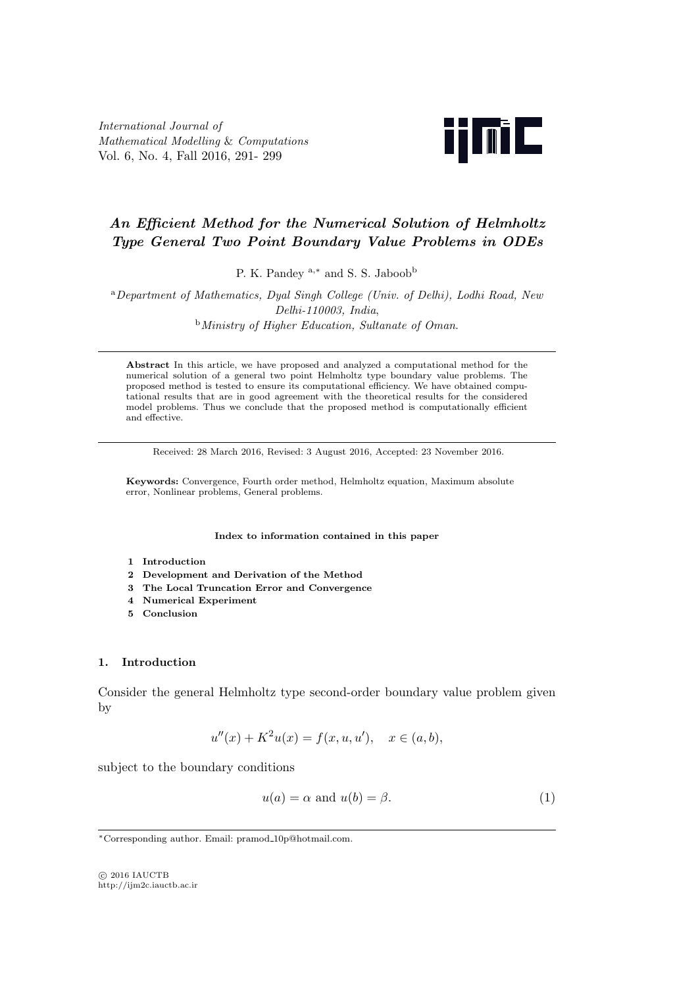*International Journal of Mathematical Modelling* & *Computations* Vol. 6, No. 4, Fall 2016, 291- 299



# *An Efficient Method for the Numerical Solution of Helmholtz Type General Two Point Boundary Value Problems in ODEs*

P. K. Pandey <sup>a,\*</sup> and S. S. Jaboob<sup>b</sup>

<sup>a</sup>*Department of Mathematics, Dyal Singh College (Univ. of Delhi), Lodhi Road, New Delhi-110003, India*, <sup>b</sup>*Ministry of Higher Education, Sultanate of Oman*.

**Abstract** In this article, we have proposed and analyzed a computational method for the numerical solution of a general two point Helmholtz type boundary value problems. The proposed method is tested to ensure its computational efficiency. We have obtained computational results that are in good agreement with the theoretical results for the considered model problems. Thus we conclude that the proposed method is computationally efficient and effective.

Received: 28 March 2016, Revised: 3 August 2016, Accepted: 23 November 2016.

**Keywords:** Convergence, Fourth order method, Helmholtz equation, Maximum absolute error, Nonlinear problems, General problems.

**Index to information contained in this paper**

- **1 Introduction**
- **2 Development and Derivation of the Method**
- **3 The Local Truncation Error and Convergence**
- **4 Numerical Experiment**
- **5 Conclusion**

# **1. Introduction**

Consider the general Helmholtz type second-order boundary value problem given by

$$
u''(x) + K^2 u(x) = f(x, u, u'), \quad x \in (a, b),
$$

subject to the boundary conditions

$$
u(a) = \alpha \text{ and } u(b) = \beta. \tag{1}
$$

*⃝*c 2016 IAUCTB http://ijm2c.iauctb.ac.ir

*<sup>∗</sup>*Corresponding author. Email: pramod 10p@hotmail.com.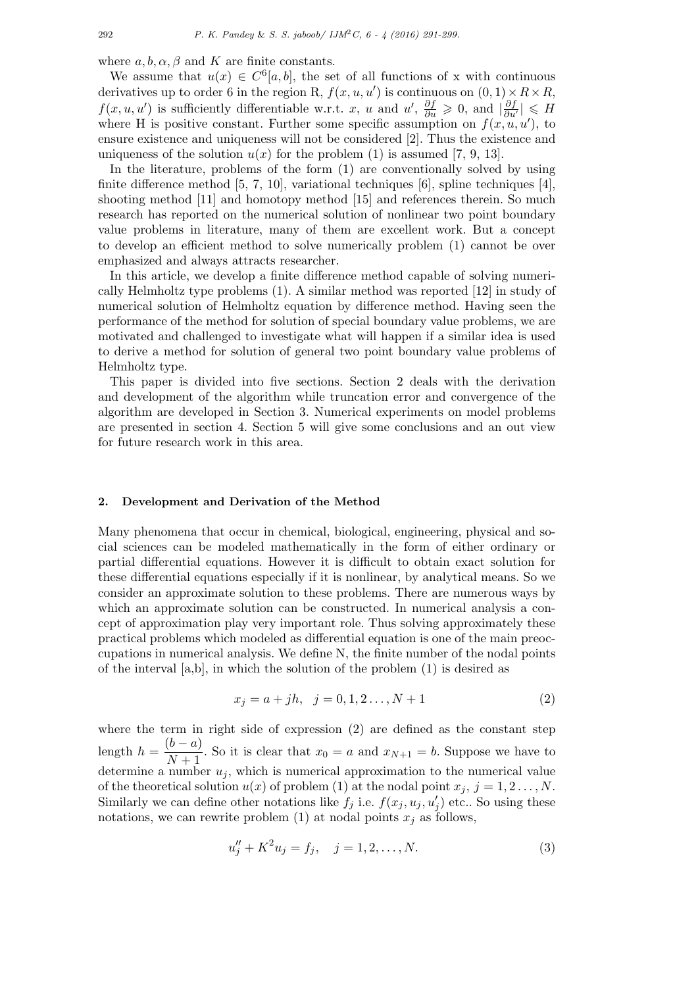where  $a, b, \alpha, \beta$  and  $K$  are finite constants.

We assume that  $u(x) \in C<sup>6</sup>[a, b]$ , the set of all functions of x with continuous derivatives up to order 6 in the region R,  $f(x, u, u')$  is continuous on  $(0, 1) \times R \times R$ , *f*(*x, u, u'*) is sufficiently differentiable w.r.t. *x, u* and *u'*,  $\frac{\partial f}{\partial u} \ge 0$ , and  $\left|\frac{\partial f}{\partial u'}\right| \le H$ where H is positive constant. Further some specific assumption on  $f(x, u, u')$ , to ensure existence and uniqueness will not be considered [2]. Thus the existence and uniqueness of the solution  $u(x)$  for the problem (1) is assumed [7, 9, 13].

In the literature, problems of the form (1) are conventionally solved by using finite difference method [5, 7, 10], variational techniques  $[6]$ , spline techniques  $[4]$ , shooting method [11] and homotopy method [15] and references therein. So much research has reported on the numerical solution of nonlinear two point boundary value problems in literature, many of them are excellent work. But a concept to develop an efficient method to solve numerically problem (1) cannot be over emphasized and always attracts researcher.

In this article, we develop a finite difference method capable of solving numerically Helmholtz type problems (1). A similar method was reported [12] in study of numerical solution of Helmholtz equation by difference method. Having seen the performance of the method for solution of special boundary value problems, we are motivated and challenged to investigate what will happen if a similar idea is used to derive a method for solution of general two point boundary value problems of Helmholtz type.

This paper is divided into five sections. Section 2 deals with the derivation and development of the algorithm while truncation error and convergence of the algorithm are developed in Section 3. Numerical experiments on model problems are presented in section 4. Section 5 will give some conclusions and an out view for future research work in this area.

## **2. Development and Derivation of the Method**

Many phenomena that occur in chemical, biological, engineering, physical and social sciences can be modeled mathematically in the form of either ordinary or partial differential equations. However it is difficult to obtain exact solution for these differential equations especially if it is nonlinear, by analytical means. So we consider an approximate solution to these problems. There are numerous ways by which an approximate solution can be constructed. In numerical analysis a concept of approximation play very important role. Thus solving approximately these practical problems which modeled as differential equation is one of the main preoccupations in numerical analysis. We define N, the finite number of the nodal points of the interval [a,b], in which the solution of the problem (1) is desired as

$$
x_j = a + jh, \quad j = 0, 1, 2, \dots, N + 1 \tag{2}
$$

where the term in right side of expression (2) are defined as the constant step length  $h = \frac{(b-a)}{N+1}$  $\frac{a}{N+1}$ . So it is clear that  $x_0 = a$  and  $x_{N+1} = b$ . Suppose we have to determine a number  $u_j$ , which is numerical approximation to the numerical value of the theoretical solution  $u(x)$  of problem (1) at the nodal point  $x_j$ ,  $j = 1, 2, \ldots, N$ . Similarly we can define other notations like  $f_j$  i.e.  $f(x_j, u_j, u'_j)$  etc.. So using these notations, we can rewrite problem (1) at nodal points  $x_j$  as follows,

$$
u''_j + K^2 u_j = f_j, \quad j = 1, 2, \dots, N. \tag{3}
$$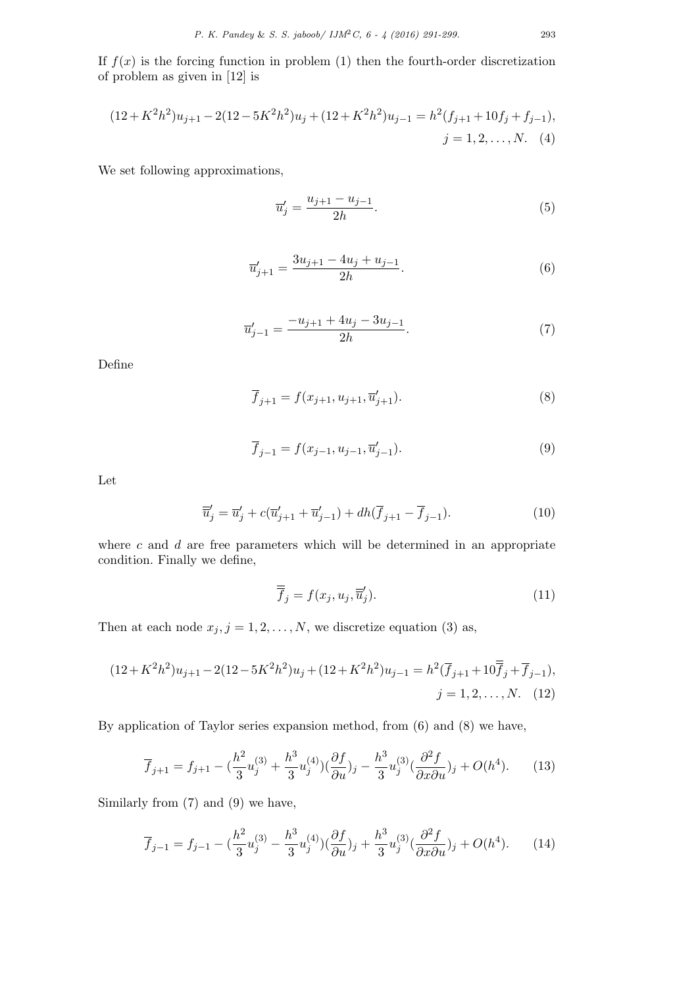$$
(12 + K^2 h^2)u_{j+1} - 2(12 - 5K^2 h^2)u_j + (12 + K^2 h^2)u_{j-1} = h^2(f_{j+1} + 10f_j + f_{j-1}),
$$
  

$$
j = 1, 2, ..., N. \quad (4)
$$

We set following approximations,

$$
\overline{u}'_j = \frac{u_{j+1} - u_{j-1}}{2h}.\tag{5}
$$

$$
\overline{u}'_{j+1} = \frac{3u_{j+1} - 4u_j + u_{j-1}}{2h}.\tag{6}
$$

$$
\overline{u}'_{j-1} = \frac{-u_{j+1} + 4u_j - 3u_{j-1}}{2h}.\tag{7}
$$

Define

$$
\overline{f}_{j+1} = f(x_{j+1}, u_{j+1}, \overline{u}'_{j+1}).
$$
\n(8)

$$
\overline{f}_{j-1} = f(x_{j-1}, u_{j-1}, \overline{u}'_{j-1}).
$$
\n(9)

Let

$$
\overline{\overline{u}}'_{j} = \overline{u}'_{j} + c(\overline{u}'_{j+1} + \overline{u}'_{j-1}) + dh(\overline{f}_{j+1} - \overline{f}_{j-1}).
$$
\n(10)

where *c* and *d* are free parameters which will be determined in an appropriate condition. Finally we define,

$$
\overline{\overline{f}}_j = f(x_j, u_j, \overline{u}'_j). \tag{11}
$$

Then at each node  $x_j$ ,  $j = 1, 2, ..., N$ , we discretize equation (3) as,

$$
(12+K^2h^2)u_{j+1} - 2(12-5K^2h^2)u_j + (12+K^2h^2)u_{j-1} = h^2(\overline{f}_{j+1} + 10\overline{f}_j + \overline{f}_{j-1}),
$$
  

$$
j = 1, 2, ..., N. \quad (12)
$$

By application of Taylor series expansion method, from (6) and (8) we have,

$$
\overline{f}_{j+1} = f_{j+1} - \left(\frac{h^2}{3}u_j^{(3)} + \frac{h^3}{3}u_j^{(4)}\right)\left(\frac{\partial f}{\partial u}\right)_j - \frac{h^3}{3}u_j^{(3)}\left(\frac{\partial^2 f}{\partial x \partial u}\right)_j + O(h^4). \tag{13}
$$

Similarly from (7) and (9) we have,

$$
\overline{f}_{j-1} = f_{j-1} - \left(\frac{h^2}{3}u_j^{(3)} - \frac{h^3}{3}u_j^{(4)}\right)\left(\frac{\partial f}{\partial u}\right)_j + \frac{h^3}{3}u_j^{(3)}\left(\frac{\partial^2 f}{\partial x \partial u}\right)_j + O(h^4). \tag{14}
$$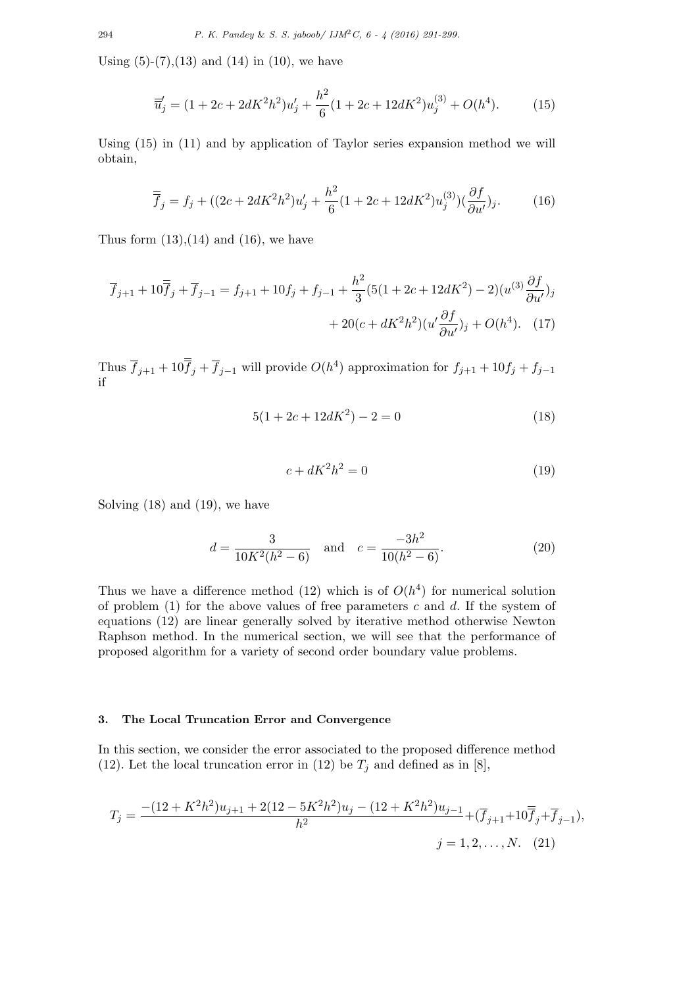Using  $(5)-(7)$ ,  $(13)$  and  $(14)$  in  $(10)$ , we have

$$
\overline{u}'_j = (1 + 2c + 2dK^2h^2)u'_j + \frac{h^2}{6}(1 + 2c + 12dK^2)u_j^{(3)} + O(h^4).
$$
 (15)

Using (15) in (11) and by application of Taylor series expansion method we will obtain,

$$
\overline{\overline{f}}_j = f_j + ((2c + 2dK^2h^2)u'_j + \frac{h^2}{6}(1 + 2c + 12dK^2)u_j^{(3)})(\frac{\partial f}{\partial u'})_j.
$$
(16)

Thus form  $(13)$ , $(14)$  and  $(16)$ , we have

$$
\overline{f}_{j+1} + 10\overline{f}_j + \overline{f}_{j-1} = f_{j+1} + 10f_j + f_{j-1} + \frac{h^2}{3}(5(1 + 2c + 12dK^2) - 2)(u^{(3)}\frac{\partial f}{\partial u'})_j
$$

$$
+ 20(c + dK^2h^2)(u'\frac{\partial f}{\partial u'})_j + O(h^4). \quad (17)
$$

Thus  $\overline{f}_{j+1} + 10\overline{f}_j + \overline{f}_{j-1}$  will provide  $O(h^4)$  approximation for  $f_{j+1} + 10f_j + f_{j-1}$ if

$$
5(1 + 2c + 12dK^2) - 2 = 0
$$
\n(18)

$$
c + dK^2h^2 = 0\tag{19}
$$

Solving (18) and (19), we have

$$
d = \frac{3}{10K^2(h^2 - 6)} \quad \text{and} \quad c = \frac{-3h^2}{10(h^2 - 6)}.
$$
 (20)

Thus we have a difference method  $(12)$  which is of  $O(h^4)$  for numerical solution of problem (1) for the above values of free parameters *c* and *d*. If the system of equations (12) are linear generally solved by iterative method otherwise Newton Raphson method. In the numerical section, we will see that the performance of proposed algorithm for a variety of second order boundary value problems.

## **3. The Local Truncation Error and Convergence**

In this section, we consider the error associated to the proposed difference method (12). Let the local truncation error in (12) be  $T_j$  and defined as in [8],

$$
T_j = \frac{-(12 + K^2 h^2)u_{j+1} + 2(12 - 5K^2 h^2)u_j - (12 + K^2 h^2)u_{j-1}}{h^2} + (\overline{f}_{j+1} + 10\overline{f}_j + \overline{f}_{j-1}),
$$
  

$$
j = 1, 2, ..., N. \quad (21)
$$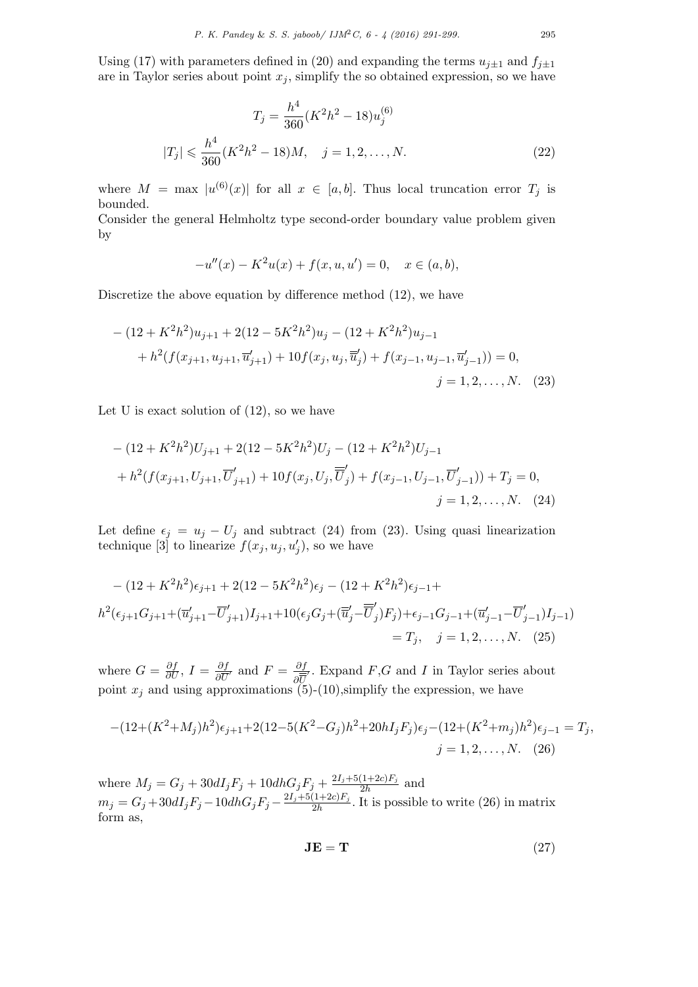Using (17) with parameters defined in (20) and expanding the terms  $u_{j\pm 1}$  and  $f_{j\pm 1}$ are in Taylor series about point  $x_j$ , simplify the so obtained expression, so we have

$$
T_j = \frac{h^4}{360} (K^2 h^2 - 18) u_j^{(6)}
$$
  

$$
|T_j| \leq \frac{h^4}{360} (K^2 h^2 - 18) M, \quad j = 1, 2, ..., N.
$$
 (22)

where  $M = \max |u^{(6)}(x)|$  for all  $x \in [a, b]$ . Thus local truncation error  $T_j$  is bounded. Consider the general Helmholtz type second-order boundary value problem given

$$
-u''(x) - K^2u(x) + f(x, u, u') = 0, \quad x \in (a, b),
$$

Discretize the above equation by difference method (12), we have

$$
-(12 + K^{2}h^{2})u_{j+1} + 2(12 - 5K^{2}h^{2})u_{j} - (12 + K^{2}h^{2})u_{j-1}
$$
  
+  $h^{2}(f(x_{j+1}, u_{j+1}, \overline{u}_{j+1}') + 10f(x_{j}, u_{j}, \overline{\overline{u}}'_{j}) + f(x_{j-1}, u_{j-1}, \overline{u}_{j-1}')) = 0,$   
 $j = 1, 2, ..., N.$  (23)

Let U is exact solution of  $(12)$ , so we have

by

$$
-(12 + K^{2}h^{2})U_{j+1} + 2(12 - 5K^{2}h^{2})U_{j} - (12 + K^{2}h^{2})U_{j-1}
$$
  
+  $h^{2}(f(x_{j+1}, U_{j+1}, \overline{U}'_{j+1}) + 10f(x_{j}, U_{j}, \overline{\overline{U}}'_{j}) + f(x_{j-1}, U_{j-1}, \overline{U}'_{j-1})) + T_{j} = 0,$   
 $j = 1, 2, ..., N.$  (24)

Let define  $\epsilon_j = u_j - U_j$  and subtract (24) from (23). Using quasi linearization technique [3] to linearize  $f(x_j, u_j, u'_j)$ , so we have

$$
-(12 + K^2 h^2) \epsilon_{j+1} + 2(12 - 5K^2 h^2) \epsilon_j - (12 + K^2 h^2) \epsilon_{j-1} +
$$
  

$$
h^2(\epsilon_{j+1} G_{j+1} + (\overline{u}'_{j+1} - \overline{U}'_{j+1}) I_{j+1} + 10(\epsilon_j G_j + (\overline{u}'_j - \overline{U}'_j) F_j) + \epsilon_{j-1} G_{j-1} + (\overline{u}'_{j-1} - \overline{U}'_{j-1}) I_{j-1})
$$
  

$$
= T_j, \quad j = 1, 2, ..., N. \quad (25)
$$

where  $G = \frac{\partial f}{\partial U}, I = \frac{\partial f}{\partial \overline{U}}$  $\frac{\partial f}{\partial \overline{U}}$  and  $F = \frac{\partial f}{\partial \overline{U}}$ *∂U ′* . Expand *F*,*G* and *I* in Taylor series about point  $x_j$  and using approximations  $(5)-(10)$ , simplify the expression, we have

$$
-(12+(K^2+M_j)h^2)\epsilon_{j+1}+2(12-5(K^2-G_j)h^2+20hI_jF_j)\epsilon_j-(12+(K^2+m_j)h^2)\epsilon_{j-1}=T_j,
$$
  

$$
j=1,2,\ldots,N.
$$
 (26)

where  $M_j = G_j + 30dI_jF_j + 10dhG_jF_j + \frac{2I_j + 5(1+2c)F_j}{2h}$  $\frac{(1+2c)F_j}{2h}$  and  $m_j = G_j + 30dI_jF_j - 10dhG_jF_j - \frac{2I_j + 5(1+2c)F_j}{2h}$  $\frac{(1+2c)F_j}{2h}$ . It is possible to write (26) in matrix form as,

$$
\mathbf{JE} = \mathbf{T} \tag{27}
$$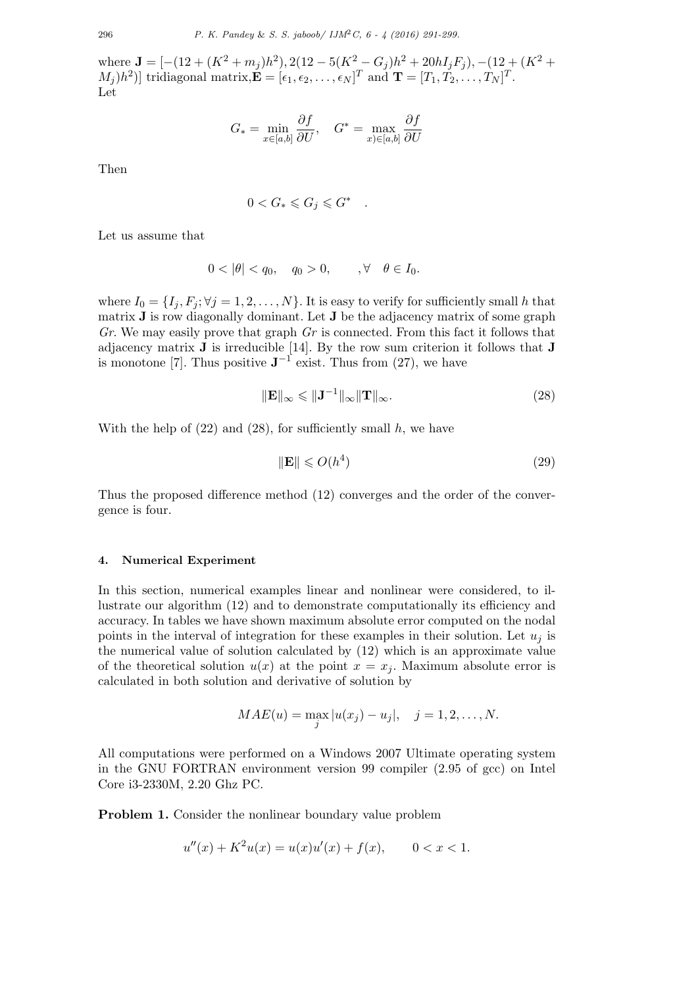$\mathbf{J} = \left[ -(12 + (K^2 + m_j)h^2), 2(12 - 5(K^2 - G_j)h^2 + 20hI_jF_j), -(12 + (K^2 +$  $[M_j]$  ) tridiagonal matrix,  $\mathbf{E} = [\epsilon_1, \epsilon_2, \dots, \epsilon_N]^T$  and  $\mathbf{T} = [T_1, T_2, \dots, T_N]^T$ . Let

$$
G_* = \min_{x \in [a,b]} \frac{\partial f}{\partial U}, \quad G^* = \max_{x) \in [a,b]} \frac{\partial f}{\partial U}
$$

Then

$$
0 < G_* \leqslant G_j \leqslant G^* \quad .
$$

Let us assume that

$$
0 < |\theta| < q_0, \quad q_0 > 0, \quad \forall \theta \in I_0.
$$

where  $I_0 = \{I_i, F_i; \forall j = 1, 2, \ldots, N\}$ . It is easy to verify for sufficiently small h that matrix **J** is row diagonally dominant. Let **J** be the adjacency matrix of some graph *Gr*. We may easily prove that graph *Gr* is connected. From this fact it follows that adjacency matrix **J** is irreducible [14]. By the row sum criterion it follows that **J** is monotone [7]. Thus positive  $J^{-1}$  exist. Thus from (27), we have

$$
\|\mathbf{E}\|_{\infty} \leqslant \|\mathbf{J}^{-1}\|_{\infty} \|\mathbf{T}\|_{\infty}.
$$
\n(28)

With the help of  $(22)$  and  $(28)$ , for sufficiently small  $h$ , we have

$$
\|\mathbf{E}\| \leqslant O(h^4) \tag{29}
$$

Thus the proposed difference method (12) converges and the order of the convergence is four.

## **4. Numerical Experiment**

In this section, numerical examples linear and nonlinear were considered, to illustrate our algorithm (12) and to demonstrate computationally its efficiency and accuracy. In tables we have shown maximum absolute error computed on the nodal points in the interval of integration for these examples in their solution. Let  $u_i$  is the numerical value of solution calculated by (12) which is an approximate value of the theoretical solution  $u(x)$  at the point  $x = x_j$ . Maximum absolute error is calculated in both solution and derivative of solution by

$$
MAE(u) = \max_{j} |u(x_j) - u_j|, \quad j = 1, 2, ..., N.
$$

All computations were performed on a Windows 2007 Ultimate operating system in the GNU FORTRAN environment version 99 compiler (2.95 of gcc) on Intel Core i3-2330M, 2.20 Ghz PC.

**Problem 1.** Consider the nonlinear boundary value problem

$$
u''(x) + K^2 u(x) = u(x)u'(x) + f(x), \qquad 0 < x < 1.
$$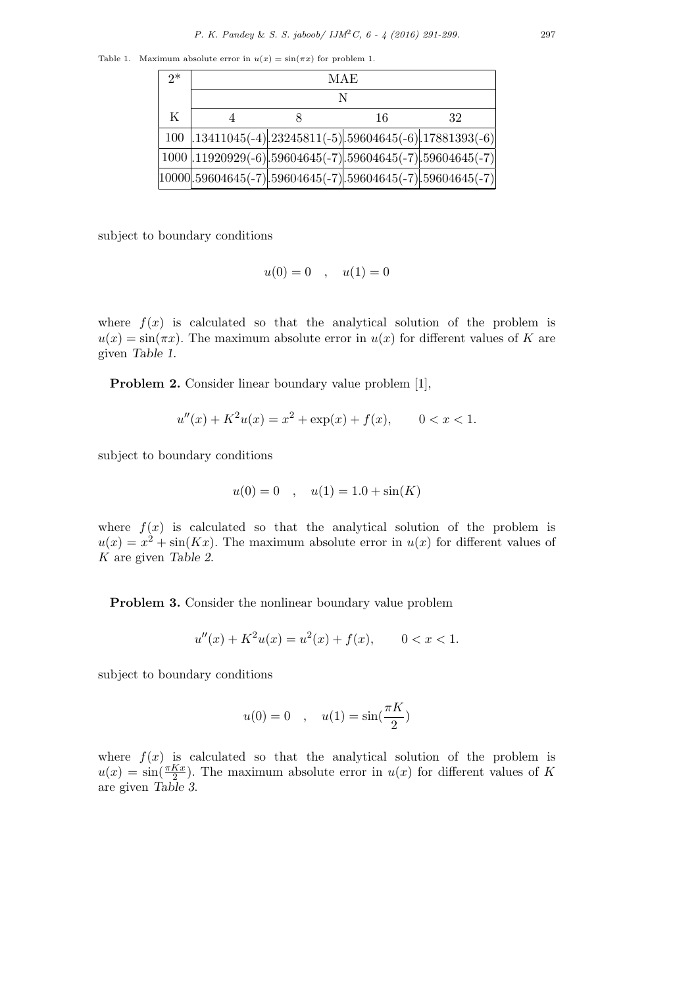Table 1. Maximum absolute error in  $u(x) = \sin(\pi x)$  for problem 1.

| $2^*$ | MAE |  |    |                                                                   |  |  |
|-------|-----|--|----|-------------------------------------------------------------------|--|--|
|       |     |  |    |                                                                   |  |  |
| K     |     |  | 16 | 32                                                                |  |  |
|       |     |  |    | 100 .13411045(-4).23245811(-5).59604645(-6).17881393(-6)          |  |  |
|       |     |  |    | $1000$ .11920929(-6).59604645(-7).59604645(-7).59604645(-7)       |  |  |
|       |     |  |    | $[10000].59604645(-7)].59604645(-7)].59604645(-7)].59604645(-7)]$ |  |  |

subject to boundary conditions

$$
u(0) = 0 \quad , \quad u(1) = 0
$$

where  $f(x)$  is calculated so that the analytical solution of the problem is  $u(x) = \sin(\pi x)$ . The maximum absolute error in  $u(x)$  for different values of *K* are given *Table 1*.

**Problem 2.** Consider linear boundary value problem [1],

$$
u''(x) + K^2 u(x) = x^2 + \exp(x) + f(x), \qquad 0 < x < 1.
$$

subject to boundary conditions

$$
u(0) = 0 \quad , \quad u(1) = 1.0 + \sin(K)
$$

where  $f(x)$  is calculated so that the analytical solution of the problem is  $u(x) = x^2 + \sin(Kx)$ . The maximum absolute error in  $u(x)$  for different values of *K* are given *Table 2*.

**Problem 3.** Consider the nonlinear boundary value problem

$$
u''(x) + K^2 u(x) = u^2(x) + f(x), \qquad 0 < x < 1.
$$

subject to boundary conditions

$$
u(0)=0\quad,\quad u(1)=\sin(\frac{\pi K}{2})
$$

where  $f(x)$  is calculated so that the analytical solution of the problem is  $u(x) = \sin(\frac{\pi Kx}{2})$ . The maximum absolute error in  $u(x)$  for different values of *K* are given *Table 3*.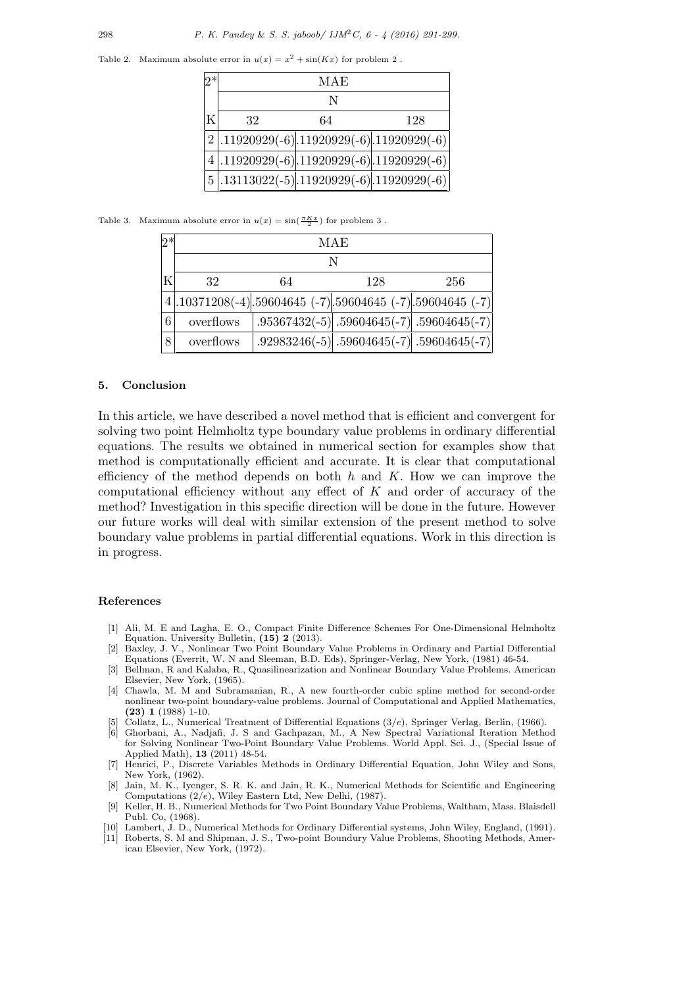Table 2. Maximum absolute error in  $u(x) = x^2 + \sin(Kx)$  for problem 2.

|   | MAE                                            |    |     |  |  |  |
|---|------------------------------------------------|----|-----|--|--|--|
|   |                                                |    |     |  |  |  |
| K | 32                                             | 64 | 128 |  |  |  |
|   | $2$ , 11920929(-6), 11920929(-6), 11920929(-6) |    |     |  |  |  |
|   | $4$ .11920929(-6).11920929(-6).11920929(-6)    |    |     |  |  |  |
|   | $5$ .13113022(-5).11920929(-6).11920929(-6)    |    |     |  |  |  |

Table 3. Maximum absolute error in  $u(x) = \sin(\frac{\pi Kx}{2})$  for problem 3.

| $2*$ | MAE       |    |     |                                                                 |  |  |  |
|------|-----------|----|-----|-----------------------------------------------------------------|--|--|--|
|      |           |    |     |                                                                 |  |  |  |
| Κ    | 32        | 64 | 128 | 256                                                             |  |  |  |
|      |           |    |     | $4$ , 10371208(-4), 59604645 (-7), 59604645 (-7), 59604645 (-7) |  |  |  |
| 6    | overflows |    |     | $.95367432(-5)$ .59604645(-7).59604645(-7)                      |  |  |  |
| 8    | overflows |    |     | .92983246(-5) .59604645(-7) .59604645(-7)                       |  |  |  |

#### **5. Conclusion**

In this article, we have described a novel method that is efficient and convergent for solving two point Helmholtz type boundary value problems in ordinary differential equations. The results we obtained in numerical section for examples show that method is computationally efficient and accurate. It is clear that computational efficiency of the method depends on both *h* and *K*. How we can improve the computational efficiency without any effect of *K* and order of accuracy of the method? Investigation in this specific direction will be done in the future. However our future works will deal with similar extension of the present method to solve boundary value problems in partial differential equations. Work in this direction is in progress.

#### **References**

- [1] Ali, M. E and Lagha, E. O., Compact Finite Difference Schemes For One-Dimensional Helmholtz Equation. University Bulletin, **(15) 2** (2013).
- [2] Baxley, J. V., Nonlinear Two Point Boundary Value Problems in Ordinary and Partial Differential Equations (Everrit, W. N and Sleeman, B.D. Eds), Springer-Verlag, New York, (1981) 46-54.
- [3] Bellman, R and Kalaba, R., Quasilinearization and Nonlinear Boundary Value Problems. American Elsevier, New York, (1965).
- [4] Chawla, M. M and Subramanian, R., A new fourth-order cubic spline method for second-order nonlinear two-point boundary-value problems. Journal of Computational and Applied Mathematics, **(23) 1** (1988) 1-10.
- [5] Collatz, L., Numerical Treatment of Differential Equations (3*/e*), Springer Verlag, Berlin, (1966).
- [6] Ghorbani, A., Nadjafi, J. S and Gachpazan, M., A New Spectral Variational Iteration Method for Solving Nonlinear Two-Point Boundary Value Problems. World Appl. Sci. J., (Special Issue of Applied Math), **13** (2011) 48-54.
- [7] Henrici, P., Discrete Variables Methods in Ordinary Differential Equation, John Wiley and Sons, New York, (1962).
- [8] Jain, M. K., Iyenger, S. R. K. and Jain, R. K., Numerical Methods for Scientific and Engineering Computations (2*/e*), Wiley Eastern Ltd, New Delhi, (1987).
- [9] Keller, H. B., Numerical Methods for Two Point Boundary Value Problems, Waltham, Mass. Blaisdell Publ. Co, (1968).
- [10] Lambert, J. D., Numerical Methods for Ordinary Differential systems, John Wiley, England, (1991).
- [11] Roberts, S. M and Shipman, J. S., Two-point Boundury Value Problems, Shooting Methods, American Elsevier, New York, (1972).